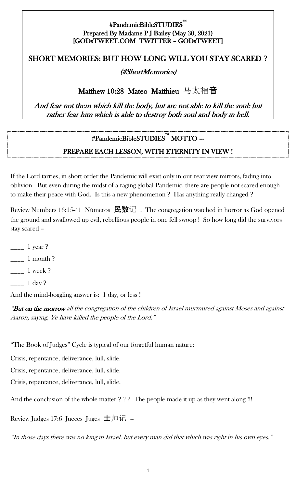#### #PandemicBibleSTUDIES™ i<br>L Prepared By Madame P J Bailey (May 30, 2021) [GODsTWEET.COM TWITTER – GODsTWEET]

#### SHORT MEMORIES: BUT HOW LONG WILL YOU STAY SCARED **?**

#### (#ShortMemories)

#### Matthew 10:28 Mateo Matthieu 马太福音

And fear not them which kill the body, but are not able to kill the soul: but rather fear him which is able to destroy both soul and body in hell.

# #PandemicBibleSTUDIES™ MOTTO –-

#### PREPARE EACH LESSON, WITH ETERNITY IN VIEW !

If the Lord tarries, in short order the Pandemic will exist only in our rear view mirrors, fading into oblivion. But even during the midst of a raging global Pandemic, there are people not scared enough to make their peace with God. Is this a new phenomenon ? Has anything really changed ?

Review Numbers 16:15-41 Números 民数记. The congregation watched in horror as God opened the ground and swallowed up evil, rebellious people in one fell swoop ! So how long did the survivors stay scared –

- 1 year ?
- $\frac{1}{2}$  1 month ?
- \_\_\_\_ 1 week ?
- $\frac{1}{2}$  1 day ?

And the mind-boggling answer is: 1 day, or less !

"But on the morrow all the congregation of the children of Israel murmured against Moses and against Aaron, saying, Ye have killed the people of the Lord."

"The Book of Judges" Cycle is typical of our forgetful human nature:

Crisis, repentance, deliverance, lull, slide.

Crisis, repentance, deliverance, lull, slide.

Crisis, repentance, deliverance, lull, slide.

And the conclusion of the whole matter ??? The people made it up as they went along !!!

Review Judges 17:6 Jueces Juges  $\pm \text{ mH}$  -

"In those days there was no king in Israel, but every man did that which was right in his own eyes."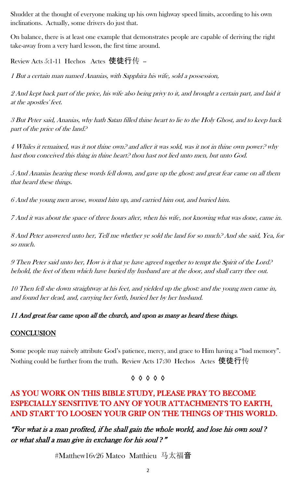Shudder at the thought of everyone making up his own highway speed limits, according to his own inclinations. Actually, some drivers do just that.

On balance, there is at least one example that demonstrates people are capable of deriving the right take-away from a very hard lesson, the first time around.

Review Acts 5:1-11 Hechos Actes 使徒行传 --

1 But a certain man named Ananias, with Sapphira his wife, sold a possession,

2 And kept back part of the price, his wife also being privy to it, and brought a certain part, and laid it at the apostles' feet.

3 But Peter said, Ananias, why hath Satan filled thine heart to lie to the Holy Ghost, and to keep back part of the price of the land?

4 Whiles it remained, was it not thine own? and after it was sold, was it not in thine own power? why hast thou conceived this thing in thine heart? thou hast not lied unto men, but unto God.

5 And Ananias hearing these words fell down, and gave up the ghost: and great fear came on all them that heard these things.

6 And the young men arose, wound him up, and carried him out, and buried him.

7 And it was about the space of three hours after, when his wife, not knowing what was done, came in.

8 And Peter answered unto her, Tell me whether ye sold the land for so much? And she said, Yea, for so much.

9 Then Peter said unto her, How is it that ye have agreed together to tempt the Spirit of the Lord? behold, the feet of them which have buried thy husband are at the door, and shall carry thee out.

10 Then fell she down straightway at his feet, and yielded up the ghost: and the young men came in, and found her dead, and, carrying her forth, buried her by her husband.

#### 11 And great fear came upon all the church, and upon as many as heard these things.

#### **CONCLUSION**

Some people may naively attribute God's patience, mercy, and grace to Him having a "bad memory". Nothing could be further from the truth. Review Acts 17:30 Hechos Actes 使徒行传

#### ◊ ◊ ◊ ◊ ◊

# AS YOU WORK ON THIS BIBLE STUDY, PLEASE PRAY TO BECOME ESPECIALLY SENSITIVE TO ANY OF YOUR ATTACHMENTS TO EARTH, AND START TO LOOSEN YOUR GRIP ON THE THINGS OF THIS WORLD.

"For what is a man profited, if he shall gain the whole world, and lose his own soul *?*  or what shall a man give in exchange for his soul *?*"

#Matthew16v26 Mateo Matthieu 马太福音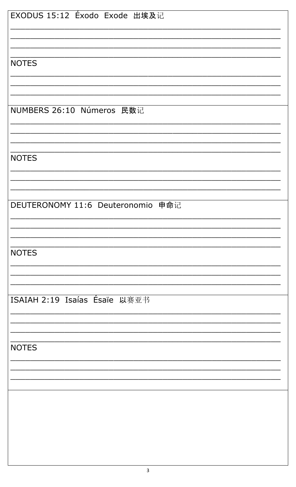| EXODUS 15:12 Éxodo Exode 出埃及记     |
|-----------------------------------|
|                                   |
|                                   |
|                                   |
| <b>NOTES</b>                      |
|                                   |
|                                   |
|                                   |
|                                   |
| NUMBERS 26:10 Números 民数记         |
|                                   |
|                                   |
|                                   |
|                                   |
| <b>NOTES</b>                      |
|                                   |
|                                   |
|                                   |
|                                   |
| DEUTERONOMY 11:6 Deuteronomio 申命记 |
|                                   |
|                                   |
|                                   |
|                                   |
| <b>NOTES</b>                      |
|                                   |
|                                   |
|                                   |
|                                   |
| ISAIAH 2:19 Isaías Ésaïe 以赛亚书     |
|                                   |
|                                   |
|                                   |
|                                   |
| <b>NOTES</b>                      |
|                                   |
|                                   |
|                                   |
|                                   |
|                                   |
|                                   |
|                                   |
|                                   |
|                                   |
|                                   |
|                                   |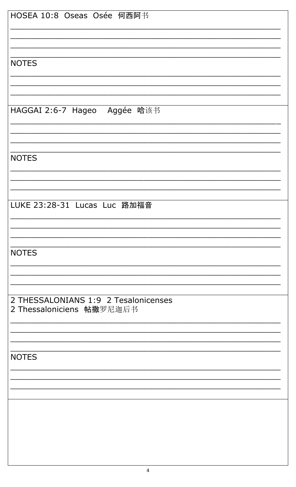| HOSEA 10:8 Oseas Osée 何西阿书           |
|--------------------------------------|
|                                      |
|                                      |
|                                      |
|                                      |
| <b>NOTES</b>                         |
|                                      |
|                                      |
|                                      |
|                                      |
|                                      |
| HAGGAI 2:6-7 Hageo Aggée 哈该书         |
|                                      |
|                                      |
|                                      |
|                                      |
| <b>NOTES</b>                         |
|                                      |
|                                      |
|                                      |
|                                      |
|                                      |
| LUKE 23:28-31 Lucas Luc 路加福音         |
|                                      |
|                                      |
|                                      |
|                                      |
| <b>NOTES</b>                         |
|                                      |
|                                      |
|                                      |
|                                      |
|                                      |
| 2 THESSALONIANS 1:9 2 Tesalonicenses |
| 2 Thessaloniciens 帖撒罗尼迦后书            |
|                                      |
|                                      |
|                                      |
|                                      |
| <b>NOTES</b>                         |
|                                      |
|                                      |
|                                      |
|                                      |
|                                      |
|                                      |
|                                      |
|                                      |
|                                      |
|                                      |
|                                      |
|                                      |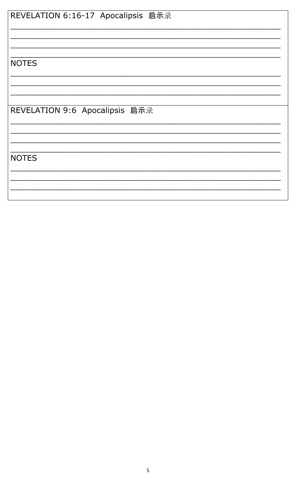| REVELATION 6:16-17 Apocalipsis 启示录 |
|------------------------------------|
|                                    |
|                                    |
| <b>NOTES</b>                       |
|                                    |
| REVELATION 9:6 Apocalipsis 启示录     |
|                                    |
| <b>NOTES</b>                       |
|                                    |
|                                    |
|                                    |